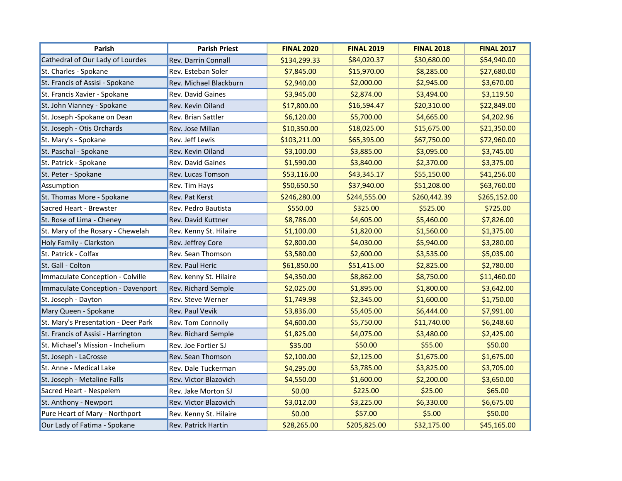| Parish                              | <b>Parish Priest</b>       | <b>FINAL 2020</b> | <b>FINAL 2019</b> | <b>FINAL 2018</b> | <b>FINAL 2017</b> |
|-------------------------------------|----------------------------|-------------------|-------------------|-------------------|-------------------|
| Cathedral of Our Lady of Lourdes    | <b>Rev. Darrin Connall</b> | \$134,299.33      | \$84,020.37       | \$30,680.00       | \$54,940.00       |
| St. Charles - Spokane               | Rev. Esteban Soler         | \$7,845.00        | \$15,970.00       | \$8,285.00        | \$27,680.00       |
| St. Francis of Assisi - Spokane     | Rev. Michael Blackburn     | \$2,940.00        | \$2,000.00        | \$2,945.00        | \$3,670.00        |
| St. Francis Xavier - Spokane        | Rev. David Gaines          | \$3,945.00        | \$2,874.00        | \$3,494.00        | \$3,119.50        |
| St. John Vianney - Spokane          | Rev. Kevin Oiland          | \$17,800.00       | \$16,594.47       | \$20,310.00       | \$22,849.00       |
| St. Joseph -Spokane on Dean         | <b>Rev. Brian Sattler</b>  | \$6,120.00        | \$5,700.00        | \$4,665.00        | \$4,202.96        |
| St. Joseph - Otis Orchards          | Rev. Jose Millan           | \$10,350.00       | \$18,025.00       | \$15,675.00       | \$21,350.00       |
| St. Mary's - Spokane                | Rev. Jeff Lewis            | \$103,211.00      | \$65,395.00       | \$67,750.00       | \$72,960.00       |
| St. Paschal - Spokane               | Rev. Kevin Oiland          | \$3,100.00        | \$3,885.00        | \$3,095.00        | \$3,745.00        |
| St. Patrick - Spokane               | Rev. David Gaines          | \$1,590.00        | \$3,840.00        | \$2,370.00        | \$3,375.00        |
| St. Peter - Spokane                 | Rev. Lucas Tomson          | \$53,116.00       | \$43,345.17       | \$55,150.00       | \$41,256.00       |
| Assumption                          | Rev. Tim Hays              | \$50,650.50       | \$37,940.00       | \$51,208.00       | \$63,760.00       |
| St. Thomas More - Spokane           | Rev. Pat Kerst             | \$246,280.00      | \$244,555.00      | \$260,442.39      | \$265,152.00      |
| Sacred Heart - Brewster             | Rev. Pedro Bautista        | \$550.00          | \$325.00          | \$525.00          | \$725.00          |
| St. Rose of Lima - Cheney           | Rev. David Kuttner         | \$8,786.00        | \$4,605.00        | \$5,460.00        | \$7,826.00        |
| St. Mary of the Rosary - Chewelah   | Rev. Kenny St. Hilaire     | \$1,100.00        | \$1,820.00        | \$1,560.00        | \$1,375.00        |
| Holy Family - Clarkston             | Rev. Jeffrey Core          | \$2,800.00        | \$4,030.00        | \$5,940.00        | \$3,280.00        |
| St. Patrick - Colfax                | Rev. Sean Thomson          | \$3,580.00        | \$2,600.00        | \$3,535.00        | \$5,035.00        |
| St. Gall - Colton                   | Rev. Paul Heric            | \$61,850.00       | \$51,415.00       | \$2,825.00        | \$2,780.00        |
| Immaculate Conception - Colville    | Rev. kenny St. Hilaire     | \$4,350.00        | \$8,862.00        | \$8,750.00        | \$11,460.00       |
| Immaculate Conception - Davenport   | <b>Rev. Richard Semple</b> | \$2,025.00        | \$1,895.00        | \$1,800.00        | \$3,642.00        |
| St. Joseph - Dayton                 | Rev. Steve Werner          | \$1,749.98        | \$2,345.00        | \$1,600.00        | \$1,750.00        |
| Mary Queen - Spokane                | <b>Rev. Paul Vevik</b>     | \$3,836.00        | \$5,405.00        | \$6,444.00        | \$7,991.00        |
| St. Mary's Presentation - Deer Park | Rev. Tom Connolly          | \$4,600.00        | \$5,750.00        | \$11,740.00       | \$6,248.60        |
| St. Francis of Assisi - Harrington  | <b>Rev. Richard Semple</b> | \$1,825.00        | \$4,075.00        | \$3,480.00        | \$2,425.00        |
| St. Michael's Mission - Inchelium   | Rev. Joe Fortier SJ        | \$35.00           | \$50.00           | \$55.00           | \$50.00           |
| St. Joseph - LaCrosse               | Rev. Sean Thomson          | \$2,100.00        | \$2,125.00        | \$1,675.00        | \$1,675.00        |
| St. Anne - Medical Lake             | Rev. Dale Tuckerman        | \$4,295.00        | \$3,785.00        | \$3,825.00        | \$3,705.00        |
| St. Joseph - Metaline Falls         | Rev. Victor Blazovich      | \$4,550.00        | \$1,600.00        | \$2,200.00        | \$3,650.00        |
| Sacred Heart - Nespelem             | Rev. Jake Morton SJ        | \$0.00            | \$225.00          | \$25.00           | \$65.00           |
| St. Anthony - Newport               | Rev. Victor Blazovich      | \$3,012.00        | \$3,225.00        | \$6,330.00        | \$6,675.00        |
| Pure Heart of Mary - Northport      | Rev. Kenny St. Hilaire     | \$0.00            | \$57.00           | \$5.00            | \$50.00           |
| Our Lady of Fatima - Spokane        | <b>Rev. Patrick Hartin</b> | \$28,265.00       | \$205,825.00      | \$32,175.00       | \$45,165.00       |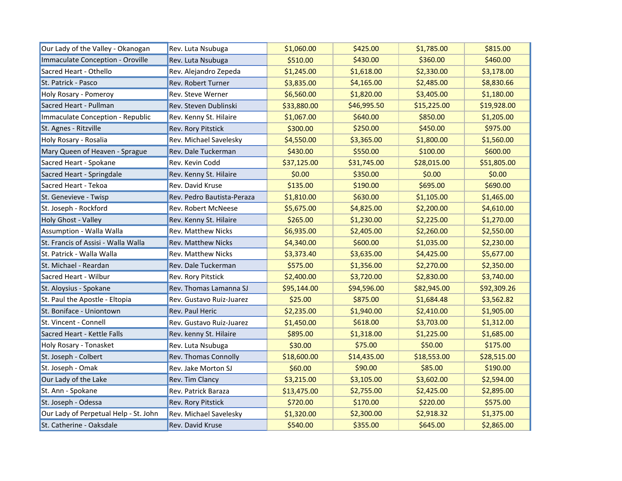| Our Lady of the Valley - Okanogan     | Rev. Luta Nsubuga           | \$1,060.00  | \$425.00    | \$1,785.00  | \$815.00    |
|---------------------------------------|-----------------------------|-------------|-------------|-------------|-------------|
| Immaculate Conception - Oroville      | Rev. Luta Nsubuga           | \$510.00    | \$430.00    | \$360.00    | \$460.00    |
| Sacred Heart - Othello                | Rev. Alejandro Zepeda       | \$1,245.00  | \$1,618.00  | \$2,330.00  | \$3,178.00  |
| St. Patrick - Pasco                   | Rev. Robert Turner          | \$3,835.00  | \$4,165.00  | \$2,485.00  | \$8,830.66  |
| Holy Rosary - Pomeroy                 | Rev. Steve Werner           | \$6,560.00  | \$1,820.00  | \$3,405.00  | \$1,180.00  |
| Sacred Heart - Pullman                | Rev. Steven Dublinski       | \$33,880.00 | \$46,995.50 | \$15,225.00 | \$19,928.00 |
| Immaculate Conception - Republic      | Rev. Kenny St. Hilaire      | \$1,067.00  | \$640.00    | \$850.00    | \$1,205.00  |
| St. Agnes - Ritzville                 | <b>Rev. Rory Pitstick</b>   | \$300.00    | \$250.00    | \$450.00    | \$975.00    |
| Holy Rosary - Rosalia                 | Rev. Michael Savelesky      | \$4,550.00  | \$3,365.00  | \$1,800.00  | \$1,560.00  |
| Mary Queen of Heaven - Sprague        | Rev. Dale Tuckerman         | \$430.00    | \$550.00    | \$100.00    | \$600.00    |
| Sacred Heart - Spokane                | Rev. Kevin Codd             | \$37,125.00 | \$31,745.00 | \$28,015.00 | \$51,805.00 |
| Sacred Heart - Springdale             | Rev. Kenny St. Hilaire      | \$0.00      | \$350.00    | \$0.00      | \$0.00      |
| Sacred Heart - Tekoa                  | Rev. David Kruse            | \$135.00    | \$190.00    | \$695.00    | \$690.00    |
| St. Genevieve - Twisp                 | Rev. Pedro Bautista-Peraza  | \$1,810.00  | \$630.00    | \$1,105.00  | \$1,465.00  |
| St. Joseph - Rockford                 | Rev. Robert McNeese         | \$5,675.00  | \$4,825.00  | \$2,200.00  | \$4,610.00  |
| Holy Ghost - Valley                   | Rev. Kenny St. Hilaire      | \$265.00    | \$1,230.00  | \$2,225.00  | \$1,270.00  |
| Assumption - Walla Walla              | <b>Rev. Matthew Nicks</b>   | \$6,935.00  | \$2,405.00  | \$2,260.00  | \$2,550.00  |
| St. Francis of Assisi - Walla Walla   | <b>Rev. Matthew Nicks</b>   | \$4,340.00  | \$600.00    | \$1,035.00  | \$2,230.00  |
| St. Patrick - Walla Walla             | <b>Rev. Matthew Nicks</b>   | \$3,373.40  | \$3,635.00  | \$4,425.00  | \$5,677.00  |
| St. Michael - Reardan                 | Rev. Dale Tuckerman         | \$575.00    | \$1,356.00  | \$2,270.00  | \$2,350.00  |
| Sacred Heart - Wilbur                 | Rev. Rory Pitstick          | \$2,400.00  | \$3,720.00  | \$2,830.00  | \$3,740.00  |
| St. Aloysius - Spokane                | Rev. Thomas Lamanna SJ      | \$95,144.00 | \$94,596.00 | \$82,945.00 | \$92,309.26 |
| St. Paul the Apostle - Eltopia        | Rev. Gustavo Ruiz-Juarez    | \$25.00     | \$875.00    | \$1,684.48  | \$3,562.82  |
| St. Boniface - Uniontown              | Rev. Paul Heric             | \$2,235.00  | \$1,940.00  | \$2,410.00  | \$1,905.00  |
| St. Vincent - Connell                 | Rev. Gustavo Ruiz-Juarez    | \$1,450.00  | \$618.00    | \$3,703.00  | \$1,312.00  |
| Sacred Heart - Kettle Falls           | Rev. kenny St. Hilaire      | \$895.00    | \$1,318.00  | \$1,225.00  | \$1,685.00  |
| Holy Rosary - Tonasket                | Rev. Luta Nsubuga           | \$30.00     | \$75.00     | \$50.00     | \$175.00    |
| St. Joseph - Colbert                  | <b>Rev. Thomas Connolly</b> | \$18,600.00 | \$14,435.00 | \$18,553.00 | \$28,515.00 |
| St. Joseph - Omak                     | Rev. Jake Morton SJ         | \$60.00     | \$90.00     | \$85.00     | \$190.00    |
| Our Lady of the Lake                  | Rev. Tim Clancy             | \$3,215.00  | \$3,105.00  | \$3,602.00  | \$2,594.00  |
| St. Ann - Spokane                     | Rev. Patrick Baraza         | \$13,475.00 | \$2,755.00  | \$2,425.00  | \$2,895.00  |
| St. Joseph - Odessa                   | <b>Rev. Rory Pitstick</b>   | \$720.00    | \$170.00    | \$220.00    | \$575.00    |
| Our Lady of Perpetual Help - St. John | Rev. Michael Savelesky      | \$1,320.00  | \$2,300.00  | \$2,918.32  | \$1,375.00  |
| St. Catherine - Oaksdale              | <b>Rev. David Kruse</b>     | \$540.00    | \$355.00    | \$645.00    | \$2,865.00  |